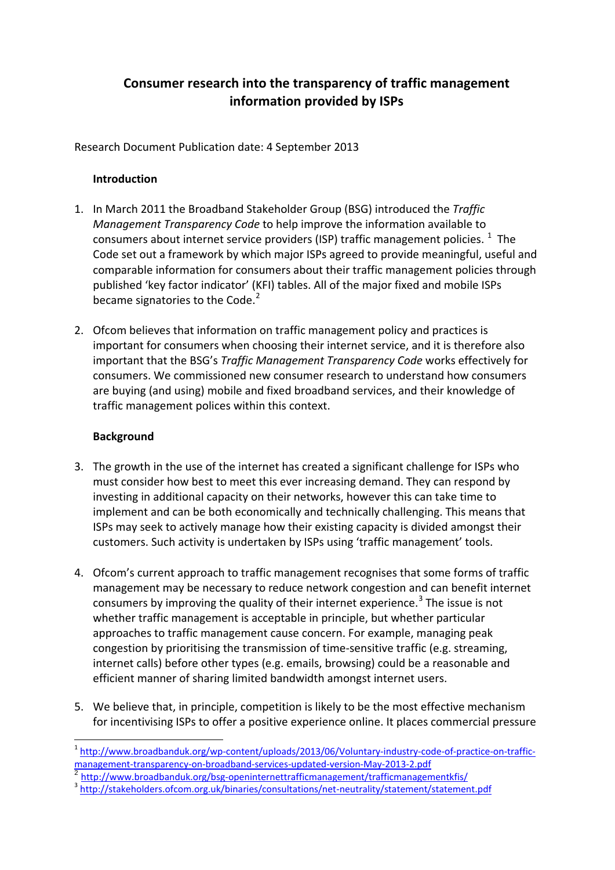# **Consumer research into the transparency of traffic management information provided by ISPs**

Research Document Publication date: 4 September 2013

### **Introduction**

- 1. In March 2011 the Broadband Stakeholder Group (BSG) introduced the *Traffic Management Transparency Code* to help improve the information available to consumers about internet service providers (ISP) traffic management policies.  $^{1}$  $^{1}$  $^{1}$  The Code set out a framework by which major ISPs agreed to provide meaningful, useful and comparable information for consumers about their traffic management policies through published 'key factor indicator' (KFI) tables. All of the major fixed and mobile ISPs became signatories to the Code. $2$
- 2. Ofcom believes that information on traffic management policy and practices is important for consumers when choosing their internet service, and it is therefore also important that the BSG's *Traffic Management Transparency Code* works effectively for consumers. We commissioned new consumer research to understand how consumers are buying (and using) mobile and fixed broadband services, and their knowledge of traffic management polices within this context.

### **Background**

- 3. The growth in the use of the internet has created a significant challenge for ISPs who must consider how best to meet this ever increasing demand. They can respond by investing in additional capacity on their networks, however this can take time to implement and can be both economically and technically challenging. This means that ISPs may seek to actively manage how their existing capacity is divided amongst their customers. Such activity is undertaken by ISPs using 'traffic management' tools.
- 4. Ofcom's current approach to traffic management recognises that some forms of traffic management may be necessary to reduce network congestion and can benefit internet consumers by improving the quality of their internet experience.<sup>[3](#page-0-2)</sup> The issue is not whether traffic management is acceptable in principle, but whether particular approaches to traffic management cause concern. For example, managing peak congestion by prioritising the transmission of time-sensitive traffic (e.g. streaming, internet calls) before other types (e.g. emails, browsing) could be a reasonable and efficient manner of sharing limited bandwidth amongst internet users.
- 5. We believe that, in principle, competition is likely to be the most effective mechanism for incentivising ISPs to offer a positive experience online. It places commercial pressure

<span id="page-0-1"></span><sup>2</sup> <http://www.broadbanduk.org/bsg-openinternettrafficmanagement/trafficmanagementkfis/><br><sup>3</sup> <http://stakeholders.ofcom.org.uk/binaries/consultations/net-neutrality/statement/statement.pdf>

<span id="page-0-0"></span><sup>1</sup> [http://www.broadbanduk.org/wp-content/uploads/2013/06/Voluntary-industry-code-of-practice-on-traffic](http://www.broadbanduk.org/wp-content/uploads/2013/06/Voluntary-industry-code-of-practice-on-traffic-management-transparency-on-broadband-services-updated-version-May-2013-2.pdf)[management-transparency-on-broadband-services-updated-version-May-2013-2.pdf](http://www.broadbanduk.org/wp-content/uploads/2013/06/Voluntary-industry-code-of-practice-on-traffic-management-transparency-on-broadband-services-updated-version-May-2013-2.pdf)

<span id="page-0-2"></span>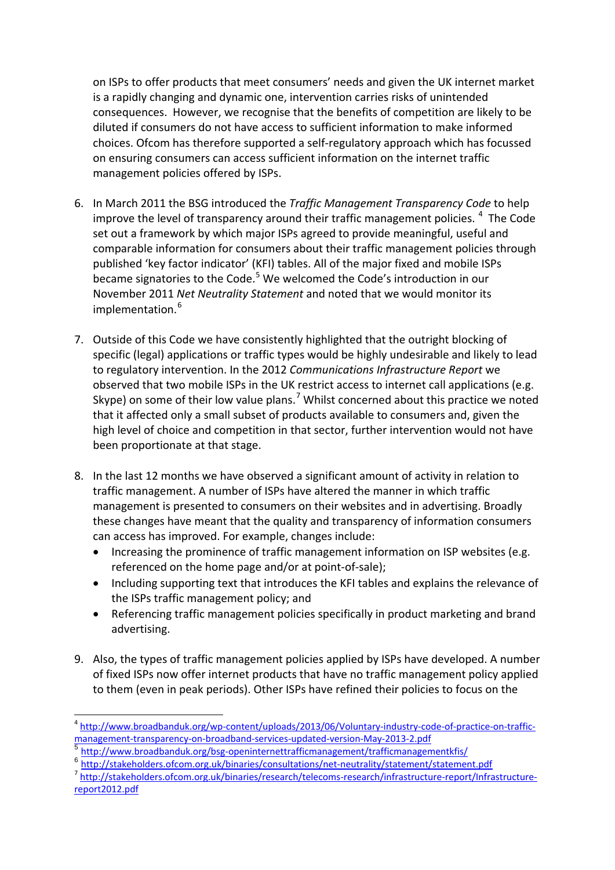on ISPs to offer products that meet consumers' needs and given the UK internet market is a rapidly changing and dynamic one, intervention carries risks of unintended consequences. However, we recognise that the benefits of competition are likely to be diluted if consumers do not have access to sufficient information to make informed choices. Ofcom has therefore supported a self-regulatory approach which has focussed on ensuring consumers can access sufficient information on the internet traffic management policies offered by ISPs.

- 6. In March 2011 the BSG introduced the *Traffic Management Transparency Code* to help improve the level of transparency around their traffic management policies.  $4$  The Code set out a framework by which major ISPs agreed to provide meaningful, useful and comparable information for consumers about their traffic management policies through published 'key factor indicator' (KFI) tables. All of the major fixed and mobile ISPs became signatories to the Code.<sup>[5](#page-1-1)</sup> We welcomed the Code's introduction in our November 2011 *Net Neutrality Statement* and noted that we would monitor its implementation. [6](#page-1-2)
- 7. Outside of this Code we have consistently highlighted that the outright blocking of specific (legal) applications or traffic types would be highly undesirable and likely to lead to regulatory intervention. In the 2012 *Communications Infrastructure Report* we observed that two mobile ISPs in the UK restrict access to internet call applications (e.g. Skype) on some of their low value plans.<sup>[7](#page-1-3)</sup> Whilst concerned about this practice we noted that it affected only a small subset of products available to consumers and, given the high level of choice and competition in that sector, further intervention would not have been proportionate at that stage.
- 8. In the last 12 months we have observed a significant amount of activity in relation to traffic management. A number of ISPs have altered the manner in which traffic management is presented to consumers on their websites and in advertising. Broadly these changes have meant that the quality and transparency of information consumers can access has improved. For example, changes include:
	- Increasing the prominence of traffic management information on ISP websites (e.g. referenced on the home page and/or at point-of-sale);
	- Including supporting text that introduces the KFI tables and explains the relevance of the ISPs traffic management policy; and
	- Referencing traffic management policies specifically in product marketing and brand advertising.
- 9. Also, the types of traffic management policies applied by ISPs have developed. A number of fixed ISPs now offer internet products that have no traffic management policy applied to them (even in peak periods). Other ISPs have refined their policies to focus on the

<span id="page-1-0"></span><sup>&</sup>lt;sup>4</sup> [http://www.broadbanduk.org/wp-content/uploads/2013/06/Voluntary-industry-code-of-practice-on-traffic](http://www.broadbanduk.org/wp-content/uploads/2013/06/Voluntary-industry-code-of-practice-on-traffic-management-transparency-on-broadband-services-updated-version-May-2013-2.pdf)[management-transparency-on-broadband-services-updated-version-May-2013-2.pdf](http://www.broadbanduk.org/wp-content/uploads/2013/06/Voluntary-industry-code-of-practice-on-traffic-management-transparency-on-broadband-services-updated-version-May-2013-2.pdf)

<span id="page-1-1"></span><sup>5</sup> <http://www.broadbanduk.org/bsg-openinternettrafficmanagement/trafficmanagementkfis/>

<span id="page-1-2"></span><sup>&</sup>lt;sup>6</sup> <http://stakeholders.ofcom.org.uk/binaries/consultations/net-neutrality/statement/statement.pdf><br>7 [http://stakeholders.ofcom.org.uk/binaries/research/telecoms-research/infrastructure-report/Infrastructure-](http://stakeholders.ofcom.org.uk/binaries/research/telecoms-research/infrastructure-report/Infrastructure-report2012.pdf)

<span id="page-1-3"></span>[report2012.pdf](http://stakeholders.ofcom.org.uk/binaries/research/telecoms-research/infrastructure-report/Infrastructure-report2012.pdf)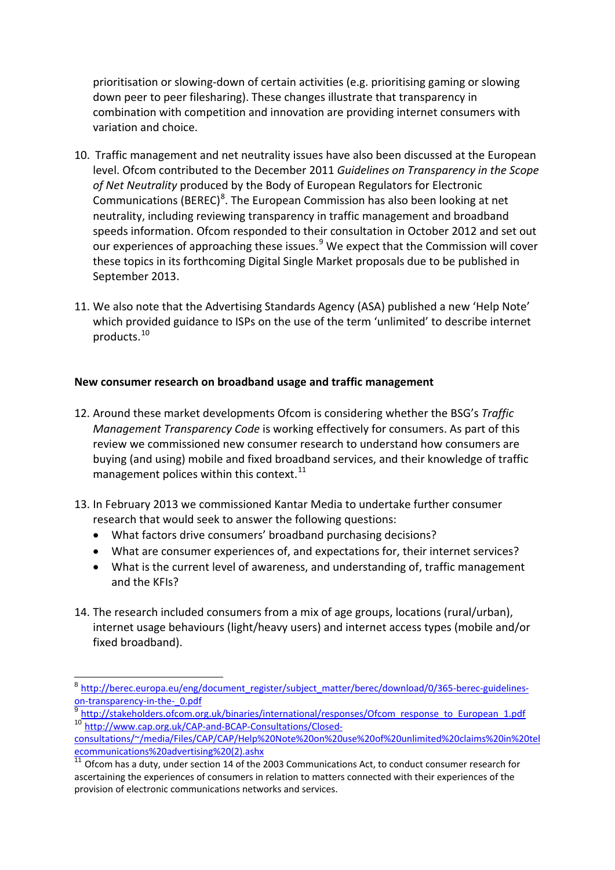prioritisation or slowing-down of certain activities (e.g. prioritising gaming or slowing down peer to peer filesharing). These changes illustrate that transparency in combination with competition and innovation are providing internet consumers with variation and choice.

- 10. Traffic management and net neutrality issues have also been discussed at the European level. Ofcom contributed to the December 2011 *Guidelines on Transparency in the Scope of Net Neutrality* produced by the Body of European Regulators for Electronic Communications (BEREC)<sup>[8](#page-2-0)</sup>. The European Commission has also been looking at net neutrality, including reviewing transparency in traffic management and broadband speeds information. Ofcom responded to their consultation in October 2012 and set out our experiences of approaching these issues. $9$  We expect that the Commission will cover these topics in its forthcoming Digital Single Market proposals due to be published in September 2013.
- 11. We also note that the Advertising Standards Agency (ASA) published a new 'Help Note' which provided guidance to ISPs on the use of the term 'unlimited' to describe internet products.[10](#page-2-2)

#### **New consumer research on broadband usage and traffic management**

- 12. Around these market developments Ofcom is considering whether the BSG's *Traffic Management Transparency Code* is working effectively for consumers. As part of this review we commissioned new consumer research to understand how consumers are buying (and using) mobile and fixed broadband services, and their knowledge of traffic management polices within this context. $^{11}$  $^{11}$  $^{11}$
- 13. In February 2013 we commissioned Kantar Media to undertake further consumer research that would seek to answer the following questions:
	- What factors drive consumers' broadband purchasing decisions?
	- What are consumer experiences of, and expectations for, their internet services?
	- What is the current level of awareness, and understanding of, traffic management and the KFIs?
- 14. The research included consumers from a mix of age groups, locations (rural/urban), internet usage behaviours (light/heavy users) and internet access types (mobile and/or fixed broadband).

<span id="page-2-0"></span><sup>8</sup> [http://berec.europa.eu/eng/document\\_register/subject\\_matter/berec/download/0/365-berec-guidelines](http://berec.europa.eu/eng/document_register/subject_matter/berec/download/0/365-berec-guidelines-on-transparency-in-the-_0.pdf)on-transparency-in-the- 0.pdf

<span id="page-2-1"></span>http://stakeholders.ofcom.org.uk/binaries/international/responses/Ofcom\_response\_to\_European\_1.pdf <sup>10</sup> http://www.cap.org.uk/CAP-and-BCAP-Consultations/Closed-

<span id="page-2-2"></span>consultations/~/media/Files/CAP/CAP/Help%20Note%20on%20use%20of%20unlimited%20claims%20in%20tel ecommunications%20advertising%20(2).ashx

<span id="page-2-3"></span><sup>11</sup> Ofcom has a duty, under section 14 of the 2003 Communications Act, to conduct consumer research for ascertaining the experiences of consumers in relation to matters connected with their experiences of the provision of electronic communications networks and services.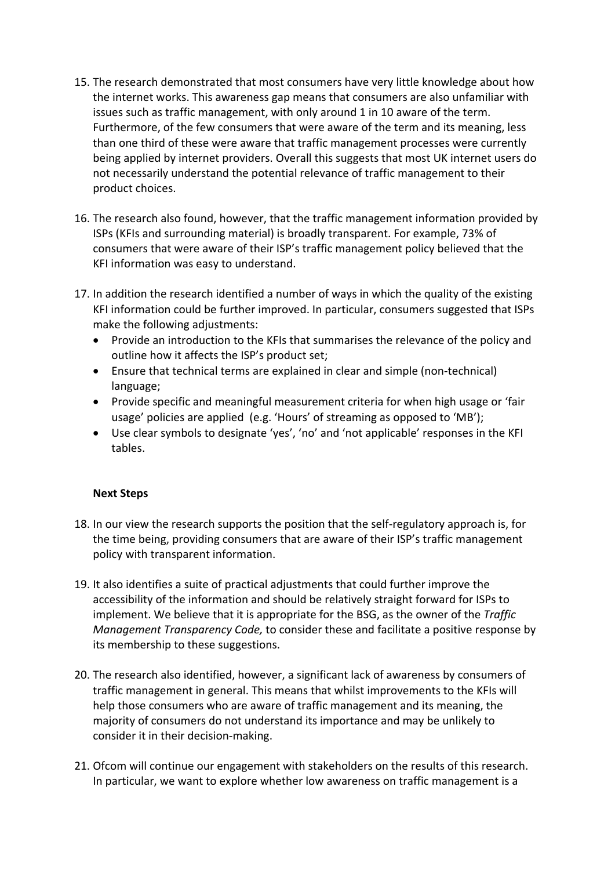- 15. The research demonstrated that most consumers have very little knowledge about how the internet works. This awareness gap means that consumers are also unfamiliar with issues such as traffic management, with only around 1 in 10 aware of the term. Furthermore, of the few consumers that were aware of the term and its meaning, less than one third of these were aware that traffic management processes were currently being applied by internet providers. Overall this suggests that most UK internet users do not necessarily understand the potential relevance of traffic management to their product choices.
- 16. The research also found, however, that the traffic management information provided by ISPs (KFIs and surrounding material) is broadly transparent. For example, 73% of consumers that were aware of their ISP's traffic management policy believed that the KFI information was easy to understand.
- 17. In addition the research identified a number of ways in which the quality of the existing KFI information could be further improved. In particular, consumers suggested that ISPs make the following adjustments:
	- Provide an introduction to the KFIs that summarises the relevance of the policy and outline how it affects the ISP's product set;
	- Ensure that technical terms are explained in clear and simple (non-technical) language;
	- Provide specific and meaningful measurement criteria for when high usage or 'fair usage' policies are applied (e.g. 'Hours' of streaming as opposed to 'MB');
	- Use clear symbols to designate 'yes', 'no' and 'not applicable' responses in the KFI tables.

## **Next Steps**

- 18. In our view the research supports the position that the self-regulatory approach is, for the time being, providing consumers that are aware of their ISP's traffic management policy with transparent information.
- 19. It also identifies a suite of practical adjustments that could further improve the accessibility of the information and should be relatively straight forward for ISPs to implement. We believe that it is appropriate for the BSG, as the owner of the *Traffic Management Transparency Code,* to consider these and facilitate a positive response by its membership to these suggestions.
- 20. The research also identified, however, a significant lack of awareness by consumers of traffic management in general. This means that whilst improvements to the KFIs will help those consumers who are aware of traffic management and its meaning, the majority of consumers do not understand its importance and may be unlikely to consider it in their decision-making.
- 21. Ofcom will continue our engagement with stakeholders on the results of this research. In particular, we want to explore whether low awareness on traffic management is a